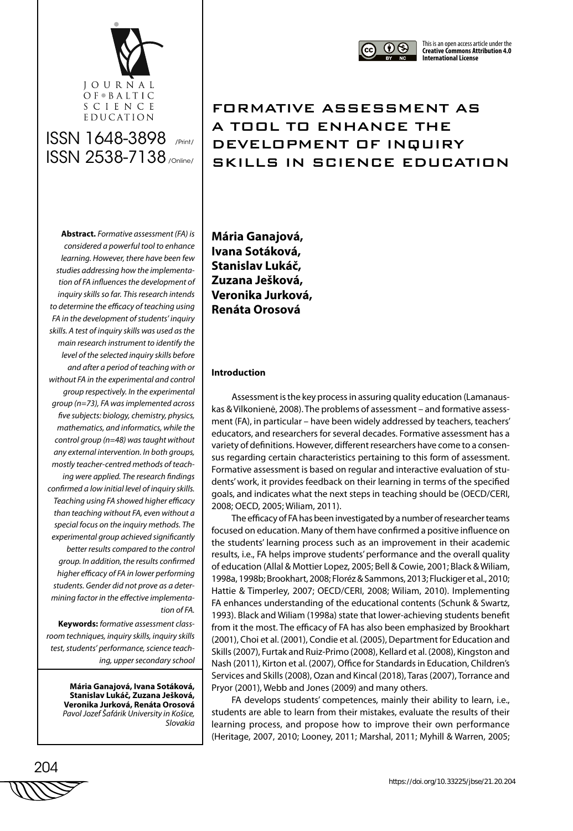

# ISSN 1648-3898 /Print/ ISSN 2538-7138 /Online/



## FORMATIVE ASSESSMENT AS A TOOL TO ENHANCE THE DEVELOPMENT OF INQUIRY SKILLS IN SCIENCE EDUCATION

**Abstract.** *Formative assessment (FA) is considered a powerful tool to enhance learning. However, there have been few studies addressing how the implementation of FA influences the development of inquiry skills so far. This research intends to determine the efficacy of teaching using FA in the development of students' inquiry skills. A test of inquiry skills was used as the main research instrument to identify the level of the selected inquiry skills before and after a period of teaching with or without FA in the experimental and control group respectively. In the experimental group (n=73), FA was implemented across five subjects: biology, chemistry, physics, mathematics, and informatics, while the control group (n=48) was taught without any external intervention. In both groups, mostly teacher-centred methods of teaching were applied. The research findings confirmed a low initial level of inquiry skills. Teaching using FA showed higher efficacy than teaching without FA, even without a special focus on the inquiry methods. The experimental group achieved significantly better results compared to the control group. In addition, the results confirmed higher efficacy of FA in lower performing students. Gender did not prove as a determining factor in the effective implementation of FA.*

**Keywords:** *formative assessment classroom techniques, inquiry skills, inquiry skills test, students' performance, science teaching, upper secondary school* 

> **Mária Ganajová, Ivana Sotáková, Stanislav Lukáč, Zuzana Ješková, Veronika Jurková, Renáta Orosová** *Pavol Jozef Šafárik University in Košice, Slovakia*

204

**Mária Ganajová, Ivana Sotáková, Stanislav Lukáč, Zuzana Ješková, Veronika Jurková, Renáta Orosová**

### **Introduction**

Assessment is the key process in assuring quality education (Lamanauskas & Vilkonienė, 2008). The problems of assessment – and formative assessment (FA), in particular – have been widely addressed by teachers, teachers' educators, and researchers for several decades. Formative assessment has a variety of definitions. However, different researchers have come to a consensus regarding certain characteristics pertaining to this form of assessment. Formative assessment is based on regular and interactive evaluation of students' work, it provides feedback on their learning in terms of the specified goals, and indicates what the next steps in teaching should be (OECD/CERI, 2008; OECD, 2005; Wiliam, 2011).

The efficacy of FA has been investigated by a number of researcher teams focused on education. Many of them have confirmed a positive influence on the students' learning process such as an improvement in their academic results, i.e., FA helps improve students' performance and the overall quality of education (Allal & Mottier Lopez, 2005; Bell & Cowie, 2001; Black & Wiliam, 1998a, 1998b; Brookhart, 2008; Floréz & Sammons, 2013; Fluckiger et al., 2010; Hattie & Timperley, 2007; OECD/CERI, 2008; Wiliam, 2010). Implementing FA enhances understanding of the educational contents (Schunk & Swartz, 1993). Black and Wiliam (1998a) state that lower-achieving students benefit from it the most. The efficacy of FA has also been emphasized by Brookhart (2001), Choi et al. (2001), Condie et al. (2005), Department for Education and Skills (2007), Furtak and Ruiz-Primo (2008), Kellard et al. (2008), Kingston and Nash (2011), Kirton et al. (2007), Office for Standards in Education, Children's Services and Skills (2008), Ozan and Kincal (2018), Taras (2007), Torrance and Pryor (2001), Webb and Jones (2009) and many others.

FA develops students' competences, mainly their ability to learn, i.e., students are able to learn from their mistakes, evaluate the results of their learning process, and propose how to improve their own performance (Heritage, 2007, 2010; Looney, 2011; Marshal, 2011; Myhill & Warren, 2005;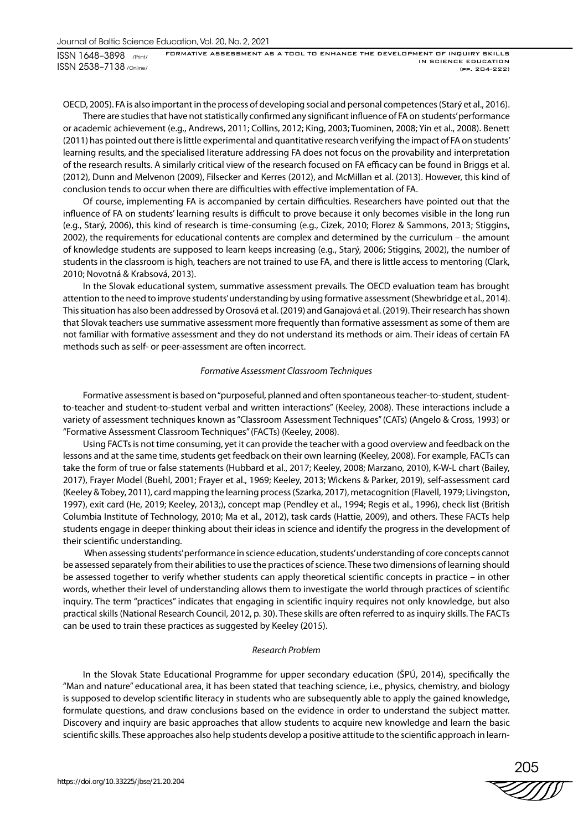OECD, 2005). FA is also important in the process of developing social and personal competences (Starý et al., 2016).

There are studies that have not statistically confirmed any significant influence of FA on students' performance or academic achievement (e.g., Andrews, 2011; Collins, 2012; King, 2003; Tuominen, 2008; Yin et al., 2008). Benett (2011) has pointed out there is little experimental and quantitative research verifying the impact of FA on students' learning results, and the specialised literature addressing FA does not focus on the provability and interpretation of the research results. A similarly critical view of the research focused on FA efficacy can be found in Briggs et al. (2012), Dunn and Melvenon (2009), Filsecker and Kerres (2012), and McMillan et al. (2013). However, this kind of conclusion tends to occur when there are difficulties with effective implementation of FA.

Of course, implementing FA is accompanied by certain difficulties. Researchers have pointed out that the influence of FA on students' learning results is difficult to prove because it only becomes visible in the long run (e.g., Starý, 2006), this kind of research is time-consuming (e.g., Cizek, 2010; Florez & Sammons, 2013; Stiggins, 2002), the requirements for educational contents are complex and determined by the curriculum – the amount of knowledge students are supposed to learn keeps increasing (e.g., Starý, 2006; Stiggins, 2002), the number of students in the classroom is high, teachers are not trained to use FA, and there is little access to mentoring (Clark, 2010; Novotná & Krabsová, 2013).

In the Slovak educational system, summative assessment prevails. The OECD evaluation team has brought attention to the need to improve students' understanding by using formative assessment (Shewbridge et al., 2014). This situation has also been addressed by Orosová et al. (2019) and Ganajová et al. (2019). Their research has shown that Slovak teachers use summative assessment more frequently than formative assessment as some of them are not familiar with formative assessment and they do not understand its methods or aim. Their ideas of certain FA methods such as self- or peer-assessment are often incorrect.

### *Formative Assessment Classroom Techniques*

Formative assessment is based on "purposeful, planned and often spontaneous teacher-to-student, studentto-teacher and student-to-student verbal and written interactions" (Keeley, 2008). These interactions include a variety of assessment techniques known as "Classroom Assessment Techniques" (CATs) (Angelo & Cross, 1993) or "Formative Assessment Classroom Techniques" (FACTs) (Keeley, 2008).

Using FACTs is not time consuming, yet it can provide the teacher with a good overview and feedback on the lessons and at the same time, students get feedback on their own learning (Keeley, 2008). For example, FACTs can take the form of true or false statements (Hubbard et al., 2017; Keeley, 2008; Marzano, 2010), K-W-L chart (Bailey, 2017), Frayer Model (Buehl, 2001; Frayer et al., 1969; Keeley, 2013; Wickens & Parker, 2019), self-assessment card (Keeley & Tobey, 2011), card mapping the learning process (Szarka, 2017), metacognition (Flavell, 1979; Livingston, 1997), exit card (He, 2019; Keeley, 2013;), concept map (Pendley et al., 1994; Regis et al., 1996), check list (British Columbia Institute of Technology, 2010; Ma et al., 2012), task cards (Hattie, 2009), and others. These FACTs help students engage in deeper thinking about their ideas in science and identify the progress in the development of their scientific understanding.

 When assessing students' performance in science education, students' understanding of core concepts cannot be assessed separately from their abilities to use the practices of science. These two dimensions of learning should be assessed together to verify whether students can apply theoretical scientific concepts in practice – in other words, whether their level of understanding allows them to investigate the world through practices of scientific inquiry. The term "practices" indicates that engaging in scientific inquiry requires not only knowledge, but also practical skills (National Research Council, 2012, p. 30). These skills are often referred to as inquiry skills. The FACTs can be used to train these practices as suggested by Keeley (2015).

### *Research Problem*

In the Slovak State Educational Programme for upper secondary education (ŠPÚ, 2014), specifically the "Man and nature" educational area, it has been stated that teaching science, i.e., physics, chemistry, and biology is supposed to develop scientific literacy in students who are subsequently able to apply the gained knowledge, formulate questions, and draw conclusions based on the evidence in order to understand the subject matter. Discovery and inquiry are basic approaches that allow students to acquire new knowledge and learn the basic scientific skills. These approaches also help students develop a positive attitude to the scientific approach in learn-

205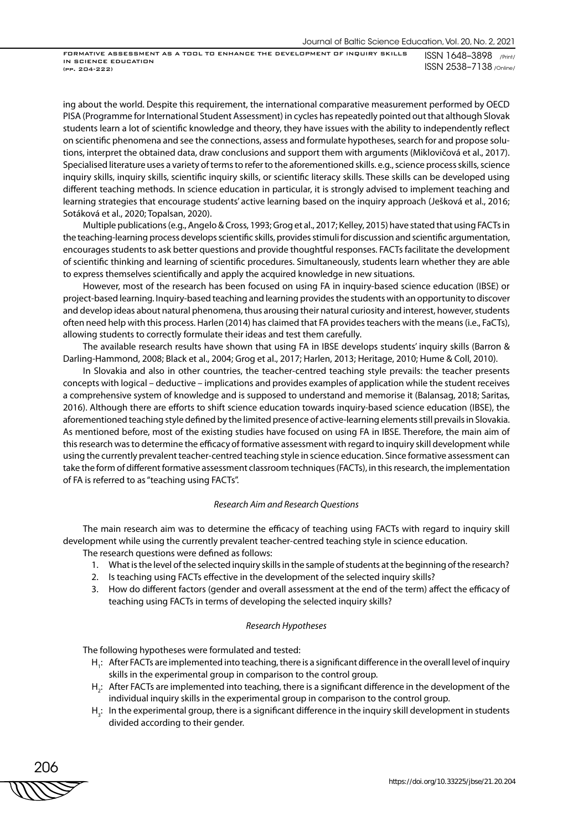ing about the world. Despite this requirement, the international comparative measurement performed by OECD PISA (Programme for International Student Assessment) in cycles has repeatedly pointed out that although Slovak students learn a lot of scientific knowledge and theory, they have issues with the ability to independently reflect on scientific phenomena and see the connections, assess and formulate hypotheses, search for and propose solutions, interpret the obtained data, draw conclusions and support them with arguments (Miklovičová et al., 2017). Specialised literature uses a variety of terms to refer to the aforementioned skills. e.g., science process skills, science inquiry skills, inquiry skills, scientific inquiry skills, or scientific literacy skills. These skills can be developed using different teaching methods. In science education in particular, it is strongly advised to implement teaching and learning strategies that encourage students' active learning based on the inquiry approach (Ješková et al., 2016; Sotáková et al., 2020; Topalsan, 2020).

Multiple publications (e.g., Angelo & Cross, 1993; Grog et al., 2017; Kelley, 2015) have stated that using FACTs in the teaching-learning process develops scientific skills, provides stimuli for discussion and scientific argumentation, encourages students to ask better questions and provide thoughtful responses. FACTs facilitate the development of scientific thinking and learning of scientific procedures. Simultaneously, students learn whether they are able to express themselves scientifically and apply the acquired knowledge in new situations.

However, most of the research has been focused on using FA in inquiry-based science education (IBSE) or project-based learning. Inquiry-based teaching and learning provides the students with an opportunity to discover and develop ideas about natural phenomena, thus arousing their natural curiosity and interest, however, students often need help with this process. Harlen (2014) has claimed that FA provides teachers with the means (i.e., FaCTs), allowing students to correctly formulate their ideas and test them carefully.

The available research results have shown that using FA in IBSE develops students' inquiry skills (Barron & Darling-Hammond, 2008; Black et al., 2004; Grog et al., 2017; Harlen, 2013; Heritage, 2010; Hume & Coll, 2010).

In Slovakia and also in other countries, the teacher-centred teaching style prevails: the teacher presents concepts with logical – deductive – implications and provides examples of application while the student receives a comprehensive system of knowledge and is supposed to understand and memorise it (Balansag, 2018; Saritas, 2016). Although there are efforts to shift science education towards inquiry-based science education (IBSE), the aforementioned teaching style defined by the limited presence of active-learning elements still prevails in Slovakia. As mentioned before, most of the existing studies have focused on using FA in IBSE. Therefore, the main aim of this research was to determine the efficacy of formative assessment with regard to inquiry skill development while using the currently prevalent teacher-centred teaching style in science education. Since formative assessment can take the form of different formative assessment classroom techniques (FACTs), in this research, the implementation of FA is referred to as "teaching using FACTs".

### *Research Aim and Research Questions*

The main research aim was to determine the efficacy of teaching using FACTs with regard to inquiry skill development while using the currently prevalent teacher-centred teaching style in science education.

The research questions were defined as follows:

- 1. What is the level of the selected inquiry skills in the sample of students at the beginning of the research?
- 2. Is teaching using FACTs effective in the development of the selected inquiry skills?
- 3. How do different factors (gender and overall assessment at the end of the term) affect the efficacy of teaching using FACTs in terms of developing the selected inquiry skills?

### *Research Hypotheses*

The following hypotheses were formulated and tested:

- H<sub>1</sub>: After FACTs are implemented into teaching, there is a significant difference in the overall level of inquiry skills in the experimental group in comparison to the control group.
- H<sub>2</sub>: After FACTs are implemented into teaching, there is a significant difference in the development of the individual inquiry skills in the experimental group in comparison to the control group.
- $H_{3}$ : In the experimental group, there is a significant difference in the inquiry skill development in students divided according to their gender.

206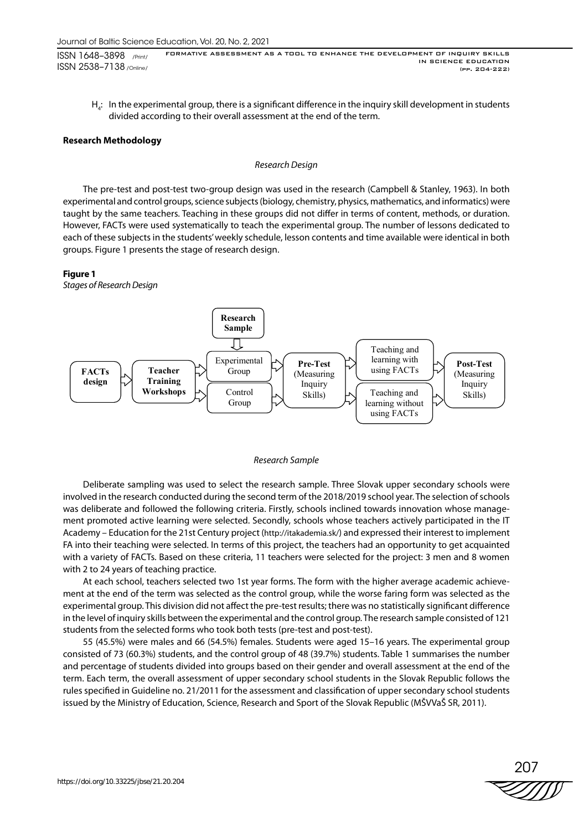$H_4$ : In the experimental group, there is a significant difference in the inquiry skill development in students divided according to their overall assessment at the end of the term.

### **Research Methodology**

### *Research Design*

The pre-test and post-test two-group design was used in the research (Campbell & Stanley, 1963). In both experimental and control groups, science subjects (biology, chemistry, physics, mathematics, and informatics) were taught by the same teachers. Teaching in these groups did not differ in terms of content, methods, or duration. However, FACTs were used systematically to teach the experimental group. The number of lessons dedicated to each of these subjects in the students' weekly schedule, lesson contents and time available were identical in both groups. Figure 1 presents the stage of research design.

### **Figure 1**

*Stages of Research Design*



### *Research Sample*

Deliberate sampling was used to select the research sample. Three Slovak upper secondary schools were involved in the research conducted during the second term of the 2018/2019 school year. The selection of schools was deliberate and followed the following criteria. Firstly, schools inclined towards innovation whose management promoted active learning were selected. Secondly, schools whose teachers actively participated in the IT Academy – Education for the 21st Century project (http://itakademia.sk/) and expressed their interest to implement FA into their teaching were selected. In terms of this project, the teachers had an opportunity to get acquainted with a variety of FACTs. Based on these criteria, 11 teachers were selected for the project: 3 men and 8 women with 2 to 24 years of teaching practice.

At each school, teachers selected two 1st year forms. The form with the higher average academic achievement at the end of the term was selected as the control group, while the worse faring form was selected as the experimental group. This division did not affect the pre-test results; there was no statistically significant difference in the level of inquiry skills between the experimental and the control group. The research sample consisted of 121 students from the selected forms who took both tests (pre-test and post-test).

55 (45.5%) were males and 66 (54.5%) females. Students were aged 15–16 years. The experimental group consisted of 73 (60.3%) students, and the control group of 48 (39.7%) students. Table 1 summarises the number and percentage of students divided into groups based on their gender and overall assessment at the end of the term. Each term, the overall assessment of upper secondary school students in the Slovak Republic follows the rules specified in Guideline no. 21/2011 for the assessment and classification of upper secondary school students issued by the Ministry of Education, Science, Research and Sport of the Slovak Republic (MŠVVaŠ SR, 2011).

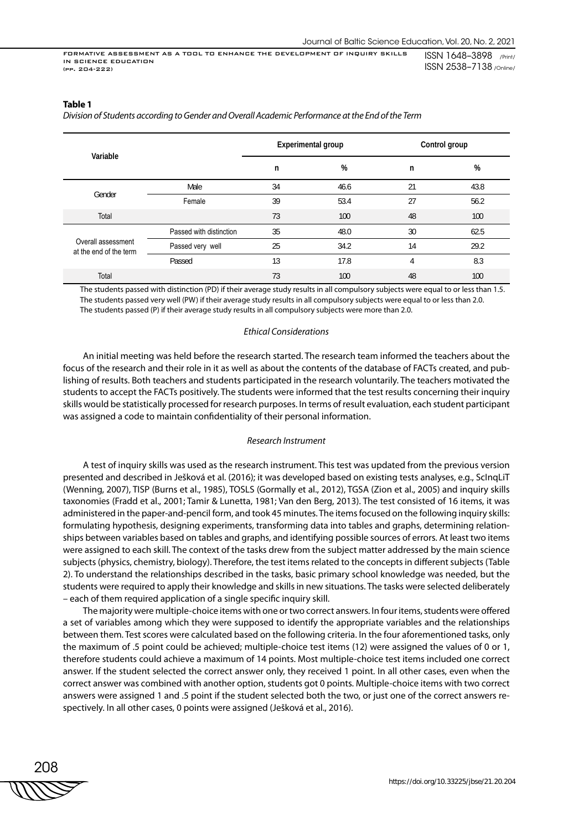### **Table 1**

*Division of Students according to Gender and Overall Academic Performance at the End of the Term*

| Variable                                     |                         |    | <b>Experimental group</b> | Control group |      |  |
|----------------------------------------------|-------------------------|----|---------------------------|---------------|------|--|
|                                              |                         | n  | %                         | n             | %    |  |
|                                              | Male                    | 34 | 46.6                      | 21            | 43.8 |  |
| Gender                                       | Female                  | 39 | 53.4                      | 27            | 56.2 |  |
| Total                                        |                         | 73 | 100                       | 48            | 100  |  |
|                                              | Passed with distinction | 35 | 48.0                      | 30            | 62.5 |  |
| Overall assessment<br>at the end of the term | Passed very well        | 25 | 34.2                      | 14            | 29.2 |  |
|                                              | Passed                  | 13 | 17.8                      | 4             | 8.3  |  |
| Total                                        |                         | 73 | 100                       | 48            | 100  |  |

The students passed with distinction (PD) if their average study results in all compulsory subjects were equal to or less than 1.5. The students passed very well (PW) if their average study results in all compulsory subjects were equal to or less than 2.0. The students passed (P) if their average study results in all compulsory subjects were more than 2.0.

#### *Ethical Considerations*

An initial meeting was held before the research started. The research team informed the teachers about the focus of the research and their role in it as well as about the contents of the database of FACTs created, and publishing of results. Both teachers and students participated in the research voluntarily. The teachers motivated the students to accept the FACTs positively. The students were informed that the test results concerning their inquiry skills would be statistically processed for research purposes. In terms of result evaluation, each student participant was assigned a code to maintain confidentiality of their personal information.

### *Research Instrument*

A test of inquiry skills was used as the research instrument. This test was updated from the previous version presented and described in Ješková et al. (2016); it was developed based on existing tests analyses, e.g., ScInqLiT (Wenning, 2007), TISP (Burns et al., 1985), TOSLS (Gormally et al., 2012), TGSA (Zion et al., 2005) and inquiry skills taxonomies (Fradd et al., 2001; Tamir & Lunetta, 1981; Van den Berg, 2013). The test consisted of 16 items, it was administered in the paper-and-pencil form, and took 45 minutes. The items focused on the following inquiry skills: formulating hypothesis, designing experiments, transforming data into tables and graphs, determining relationships between variables based on tables and graphs, and identifying possible sources of errors. At least two items were assigned to each skill. The context of the tasks drew from the subject matter addressed by the main science subjects (physics, chemistry, biology). Therefore, the test items related to the concepts in different subjects (Table 2). To understand the relationships described in the tasks, basic primary school knowledge was needed, but the students were required to apply their knowledge and skills in new situations. The tasks were selected deliberately – each of them required application of a single specific inquiry skill.

The majority were multiple-choice items with one or two correct answers. In four items, students were offered a set of variables among which they were supposed to identify the appropriate variables and the relationships between them. Test scores were calculated based on the following criteria. In the four aforementioned tasks, only the maximum of .5 point could be achieved; multiple-choice test items (12) were assigned the values of 0 or 1, therefore students could achieve a maximum of 14 points. Most multiple-choice test items included one correct answer. If the student selected the correct answer only, they received 1 point. In all other cases, even when the correct answer was combined with another option, students got 0 points. Multiple-choice items with two correct answers were assigned 1 and .5 point if the student selected both the two, or just one of the correct answers respectively. In all other cases, 0 points were assigned (Ješková et al., 2016).

208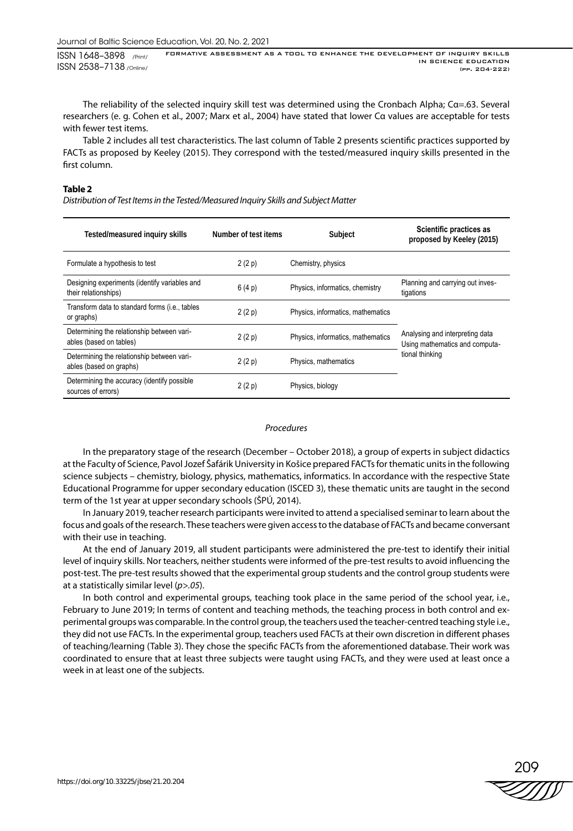The reliability of the selected inquiry skill test was determined using the Cronbach Alpha; Cα=.63. Several researchers (e. g. Cohen et al., 2007; Marx et al., 2004) have stated that lower Cα values are acceptable for tests with fewer test items.

Table 2 includes all test characteristics. The last column of Table 2 presents scientific practices supported by FACTs as proposed by Keeley (2015). They correspond with the tested/measured inquiry skills presented in the first column.

### **Table 2**

*Distribution of Test Items in the Tested/Measured Inquiry Skills and Subject Matter*

| Tested/measured inquiry skills                                        | Number of test items | Subject                           | Scientific practices as<br>proposed by Keeley (2015)              |  |
|-----------------------------------------------------------------------|----------------------|-----------------------------------|-------------------------------------------------------------------|--|
| Formulate a hypothesis to test                                        | 2(2p)                | Chemistry, physics                |                                                                   |  |
| Designing experiments (identify variables and<br>their relationships) | 6(4p)                | Physics, informatics, chemistry   | Planning and carrying out inves-<br>tigations                     |  |
| Transform data to standard forms (i.e., tables<br>2(2p)<br>or graphs) |                      | Physics, informatics, mathematics |                                                                   |  |
| Determining the relationship between vari-<br>ables (based on tables) | 2(2p)                | Physics, informatics, mathematics | Analysing and interpreting data<br>Using mathematics and computa- |  |
| Determining the relationship between vari-<br>ables (based on graphs) | 2(2p)                | Physics, mathematics              | tional thinking                                                   |  |
| Determining the accuracy (identify possible<br>sources of errors)     | 2(2p)                | Physics, biology                  |                                                                   |  |

### *Procedures*

In the preparatory stage of the research (December – October 2018), a group of experts in subject didactics at the Faculty of Science, Pavol Jozef Šafárik University in Košice prepared FACTs for thematic units in the following science subjects – chemistry, biology, physics, mathematics, informatics. In accordance with the respective State Educational Programme for upper secondary education (ISCED 3), these thematic units are taught in the second term of the 1st year at upper secondary schools (ŠPÚ, 2014).

In January 2019, teacher research participants were invited to attend a specialised seminar to learn about the focus and goals of the research. These teachers were given access to the database of FACTs and became conversant with their use in teaching.

At the end of January 2019, all student participants were administered the pre-test to identify their initial level of inquiry skills. Nor teachers, neither students were informed of the pre-test results to avoid influencing the post-test. The pre-test results showed that the experimental group students and the control group students were at a statistically similar level (*p>.05*).

In both control and experimental groups, teaching took place in the same period of the school year, i.e., February to June 2019; In terms of content and teaching methods, the teaching process in both control and experimental groups was comparable. In the control group, the teachers used the teacher-centred teaching style i.e., they did not use FACTs. In the experimental group, teachers used FACTs at their own discretion in different phases of teaching/learning (Table 3). They chose the specific FACTs from the aforementioned database. Their work was coordinated to ensure that at least three subjects were taught using FACTs, and they were used at least once a week in at least one of the subjects.

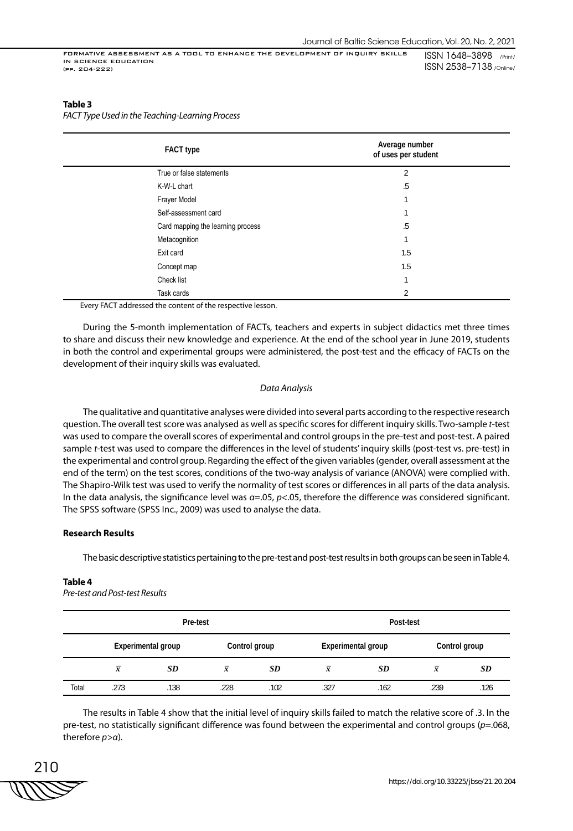### **Table 3**

*FACT Type Used in the Teaching-Learning Process* 

| <b>FACT type</b>                  | Average number<br>of uses per student |
|-----------------------------------|---------------------------------------|
| True or false statements          | $\overline{2}$                        |
| K-W-L chart                       | .5                                    |
| Frayer Model                      |                                       |
| Self-assessment card              |                                       |
| Card mapping the learning process | .5                                    |
| Metacognition                     |                                       |
| Exit card                         | 1.5                                   |
| Concept map                       | 1.5                                   |
| Check list                        |                                       |
| Task cards                        | $\overline{2}$                        |

Every FACT addressed the content of the respective lesson.

During the 5-month implementation of FACTs, teachers and experts in subject didactics met three times to share and discuss their new knowledge and experience. At the end of the school year in June 2019, students in both the control and experimental groups were administered, the post-test and the efficacy of FACTs on the development of their inquiry skills was evaluated.

### *Data Analysis*

The qualitative and quantitative analyses were divided into several parts according to the respective research question. The overall test score was analysed as well as specific scores for different inquiry skills. Two-sample *t*-test was used to compare the overall scores of experimental and control groups in the pre-test and post-test. A paired sample *t*-test was used to compare the differences in the level of students' inquiry skills (post-test vs. pre-test) in the experimental and control group. Regarding the effect of the given variables (gender, overall assessment at the end of the term) on the test scores, conditions of the two-way analysis of variance (ANOVA) were complied with. The Shapiro-Wilk test was used to verify the normality of test scores or differences in all parts of the data analysis. In the data analysis, the significance level was *α*=.05, *p*<.05, therefore the difference was considered significant. The SPSS software (SPSS Inc., 2009) was used to analyse the data.

### **Research Results**

The basic descriptive statistics pertaining to the pre-test and post-test results in both groups can be seen in Table 4.

### **Table 4**

*Pre-test and Post-test Results* 

|       | Pre-test                  |           |           |               |           | Post-test          |           |               |  |  |
|-------|---------------------------|-----------|-----------|---------------|-----------|--------------------|-----------|---------------|--|--|
|       | <b>Experimental group</b> |           |           | Control group |           | Experimental group |           | Control group |  |  |
|       | $\bar{x}$                 | <b>SD</b> | $\bar{x}$ | <b>SD</b>     | $\bar{x}$ | <b>SD</b>          | $\bar{x}$ | <b>SD</b>     |  |  |
| Total | .273                      | .138      | .228      | .102          | .327      | .162               | .239      | .126          |  |  |

The results in Table 4 show that the initial level of inquiry skills failed to match the relative score of .3. In the pre-test, no statistically significant difference was found between the experimental and control groups (*p*=.068, therefore *p>α*).

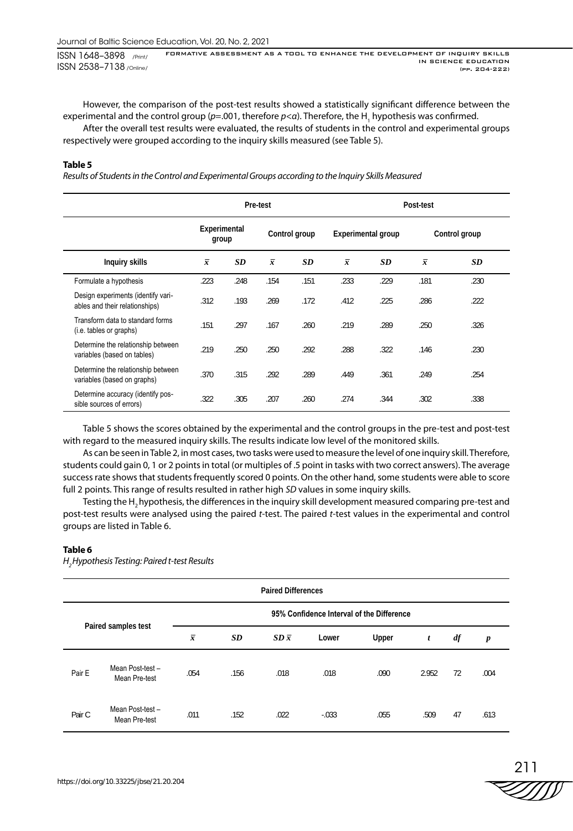However, the comparison of the post-test results showed a statistically significant difference between the experimental and the control group (*p*=.001, therefore *p<α*). Therefore, the H<sub>1</sub> hypothesis was confirmed.

After the overall test results were evaluated, the results of students in the control and experimental groups respectively were grouped according to the inquiry skills measured (see Table 5).

### **Table 5**

*Results of Students in the Control and Experimental Groups according to the Inquiry Skills Measured*

|                                                                      |           |                       | Pre-test  |                                     | Post-test |           |           |               |
|----------------------------------------------------------------------|-----------|-----------------------|-----------|-------------------------------------|-----------|-----------|-----------|---------------|
|                                                                      |           | Experimental<br>group |           | Control group<br>Experimental group |           |           |           | Control group |
| Inquiry skills                                                       | $\bar{x}$ | <b>SD</b>             | $\bar{x}$ | <b>SD</b>                           | $\bar{x}$ | <b>SD</b> | $\bar{x}$ | SD            |
| Formulate a hypothesis                                               | .223      | .248                  | .154      | .151                                | .233      | .229      | .181      | .230          |
| Design experiments (identify vari-<br>ables and their relationships) | .312      | .193                  | .269      | .172                                | .412      | .225      | .286      | .222          |
| Transform data to standard forms<br>(i.e. tables or graphs)          | .151      | .297                  | .167      | .260                                | .219      | .289      | .250      | .326          |
| Determine the relationship between<br>variables (based on tables)    | .219      | .250                  | .250      | .292                                | .288      | .322      | .146      | .230          |
| Determine the relationship between<br>variables (based on graphs)    | .370      | .315                  | .292      | .289                                | .449      | .361      | .249      | .254          |
| Determine accuracy (identify pos-<br>sible sources of errors)        | .322      | .305                  | .207      | .260                                | .274      | .344      | .302      | .338          |

Table 5 shows the scores obtained by the experimental and the control groups in the pre-test and post-test with regard to the measured inquiry skills. The results indicate low level of the monitored skills.

As can be seen in Table 2, in most cases, two tasks were used to measure the level of one inquiry skill. Therefore, students could gain 0, 1 or 2 points in total (or multiples of .5 point in tasks with two correct answers). The average success rate shows that students frequently scored 0 points. On the other hand, some students were able to score full 2 points. This range of results resulted in rather high *SD* values in some inquiry skills.

Testing the H<sub>2</sub> hypothesis, the differences in the inquiry skill development measured comparing pre-test and post-test results were analysed using the paired *t*-test. The paired *t*-test values in the experimental and control groups are listed in Table 6.

### **Table 6**

*H2 Hypothesis Testing: Paired t-test Results*

|                     | <b>Paired Differences</b>         |                                           |           |             |         |       |       |    |                  |  |  |
|---------------------|-----------------------------------|-------------------------------------------|-----------|-------------|---------|-------|-------|----|------------------|--|--|
|                     |                                   | 95% Confidence Interval of the Difference |           |             |         |       |       |    |                  |  |  |
| Paired samples test |                                   | $\bar{x}$                                 | <b>SD</b> | $SD\bar{x}$ | Lower   | Upper | t     | df | $\boldsymbol{p}$ |  |  |
| Pair E              | Mean Post-test-<br>Mean Pre-test  | .054                                      | .156      | .018        | .018    | .090  | 2.952 | 72 | .004             |  |  |
| Pair C              | Mean Post-test -<br>Mean Pre-test | .011                                      | .152      | .022        | $-0.33$ | .055  | .509  | 47 | .613             |  |  |

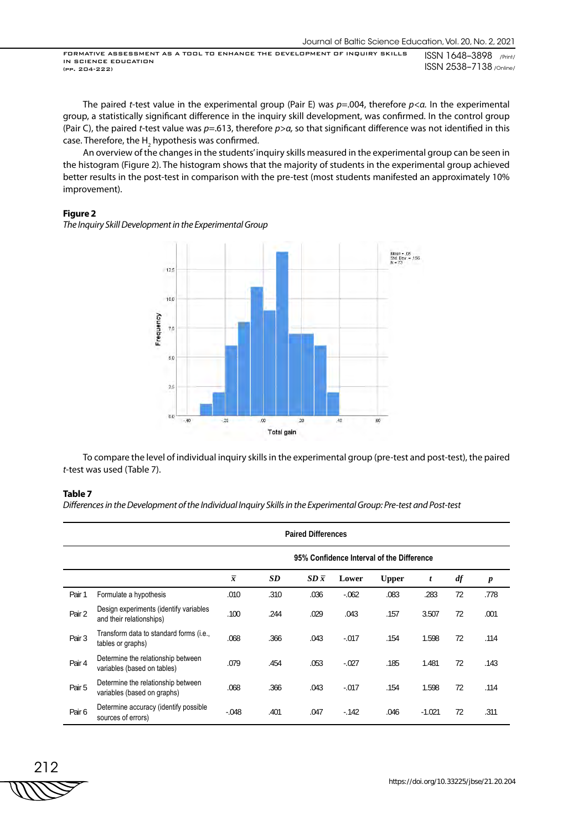The paired *t*-test value in the experimental group (Pair E) was *p*=.004, therefore *p<α.* In the experimental group, a statistically significant difference in the inquiry skill development, was confirmed. In the control group (Pair C), the paired *t*-test value was *p*=.613, therefore *p>α,* so that significant difference was not identified in this case. Therefore, the  $\mathsf{H}_{_{2}}$  hypothesis was confirmed.

An overview of the changes in the students' inquiry skills measured in the experimental group can be seen in the histogram (Figure 2). The histogram shows that the majority of students in the experimental group achieved better results in the post-test in comparison with the pre-test (most students manifested an approximately 10% improvement).

### **Figure 2**

*The Inquiry SkillDevelopment in the Experimental Group*



To compare the level of individual inquiry skills in the experimental group (pre-test and post-test), the paired *t*-test was used (Table 7).

### **Table 7**

*Differences in the Development of the Individual Inquiry Skillsin the Experimental Group: Pre-test and Post-test*

|        |                                                                    |           |           | <b>Paired Differences</b> |          |                                           |          |    |                  |
|--------|--------------------------------------------------------------------|-----------|-----------|---------------------------|----------|-------------------------------------------|----------|----|------------------|
|        |                                                                    |           |           |                           |          | 95% Confidence Interval of the Difference |          |    |                  |
|        |                                                                    | $\bar{x}$ | <b>SD</b> | $SD\bar{x}$               | Lower    | <b>Upper</b>                              | t        | df | $\boldsymbol{p}$ |
| Pair 1 | Formulate a hypothesis                                             | .010      | .310      | .036                      | $-062$   | .083                                      | .283     | 72 | .778             |
| Pair 2 | Design experiments (identify variables<br>and their relationships) | .100      | .244      | .029                      | .043     | .157                                      | 3.507    | 72 | .001             |
| Pair 3 | Transform data to standard forms (i.e.,<br>tables or graphs)       | .068      | .366      | .043                      | $-0.017$ | .154                                      | 1.598    | 72 | .114             |
| Pair 4 | Determine the relationship between<br>variables (based on tables)  | .079      | .454      | .053                      | $-027$   | .185                                      | 1.481    | 72 | .143             |
| Pair 5 | Determine the relationship between<br>variables (based on graphs)  | .068      | .366      | .043                      | $-.017$  | .154                                      | 1.598    | 72 | .114             |
| Pair 6 | Determine accuracy (identify possible<br>sources of errors)        | $-.048$   | .401      | .047                      | $-142$   | .046                                      | $-1.021$ | 72 | .311             |

$$
\overbrace{\text{UNUS}}^{212}
$$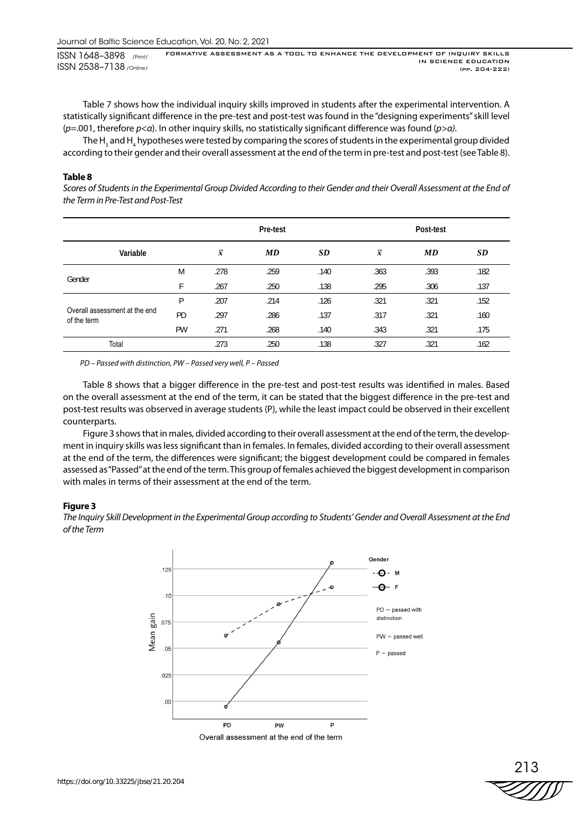Table 7 shows how the individual inquiry skills improved in students after the experimental intervention. A statistically significant difference in the pre-test and post-test was found in the "designing experiments" skill level (*p*=.001, therefore *p*<*α*). In other inquiry skills, no statistically significant difference was found (*p>α).*

The H<sub>3</sub> and H<sub>4</sub> hypotheses were tested by comparing the scores of students in the experimental group divided according to their gender and their overall assessment at the end of the term in pre-test and post-test (see Table 8).

### **Table 8**

*Scores of Students in the Experimental Group Divided According to their Gender and their Overall Assessment at the End of the Term in Pre-Test and Post-Test*

|                                              |    |           | Pre-test |      | Post-test |      |      |  |
|----------------------------------------------|----|-----------|----------|------|-----------|------|------|--|
| Variable                                     |    | $\bar{x}$ | MD       | SD   | $\bar{x}$ | MD   | SD   |  |
|                                              | M  | .278      | .259     | .140 | .363      | .393 | .182 |  |
| Gender                                       | F  | .267      | .250     | .138 | .295      | .306 | .137 |  |
|                                              | P  | .207      | .214     | .126 | .321      | .321 | .152 |  |
| Overall assessment at the end<br>of the term | PD | .297      | .286     | .137 | .317      | .321 | .160 |  |
|                                              | PW | .271      | .268     | .140 | .343      | .321 | .175 |  |
| Total                                        |    | .273      | .250     | .138 | .327      | .321 | .162 |  |

*PD – Passed with distinction, PW* – *Passed very well, P* – *Passed* 

Table 8 shows that a bigger difference in the pre-test and post-test results was identified in males. Based on the overall assessment at the end of the term, it can be stated that the biggest difference in the pre-test and post-test results was observed in average students (P), while the least impact could be observed in their excellent counterparts.

Figure 3 shows that in males, divided according to their overall assessment at the end of the term, the development in inquiry skills was less significant than in females. In females, divided according to their overall assessment at the end of the term, the differences were significant; the biggest development could be compared in females assessed as "Passed" at the end of the term. This group of females achieved the biggest development in comparison with males in terms of their assessment at the end of the term.

### **Figure 3**

*The Inquiry Skill Development in the Experimental Group according to Students' Gender and Overall Assessment at the End of the Term* 





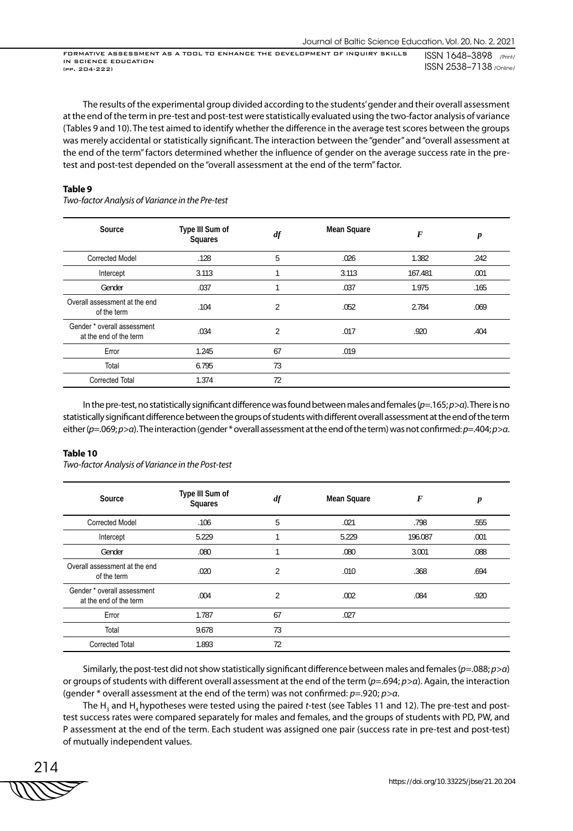The results of the experimental group divided according to the students' gender and their overall assessment at the end of the term in pre-test and post-test were statistically evaluated using the two-factor analysis of variance (Tables 9 and 10). The test aimed to identify whether the difference in the average test scores between the groups was merely accidental or statistically significant. The interaction between the "gender" and "overall assessment at the end of the term" factors determined whether the influence of gender on the average success rate in the pretest and post-test depended on the "overall assessment at the end of the term" factor.

### **Table 9**

*Two-factor Analysis of Variance in the Pre-test* 

| Source                                                | Type III Sum of<br>Squares | df             | Mean Square | $\boldsymbol{F}$ | $\boldsymbol{p}$ |
|-------------------------------------------------------|----------------------------|----------------|-------------|------------------|------------------|
| <b>Corrected Model</b>                                | .128                       | 5              | .026        | 1.382            | .242             |
| Intercept                                             | 3.113                      |                | 3.113       | 167.481          | .001             |
| Gender                                                | .037                       |                | .037        | 1.975            | .165             |
| Overall assessment at the end<br>.104<br>of the term  |                            | 2              | .052        | 2.784            | .069             |
| Gender * overall assessment<br>at the end of the term | .034                       | $\overline{2}$ | .017        | .920             | .404             |
| Error                                                 | 1.245                      | 67             | .019        |                  |                  |
| Total                                                 | 6.795                      | 73             |             |                  |                  |
| <b>Corrected Total</b>                                | 1.374                      | 72             |             |                  |                  |

In the pre-test, no statistically significant difference was found between males and females (*p*=.165; *p>α*). There is no statistically significant difference between the groups of students with different overall assessment at the end of the term either (*p*=.069; *p>α*). The interaction (gender \* overall assessment at the end of the term) was not confirmed: *p*=.404; *p>α*.

### **Table 10**

*Two-factor Analysis of Variance in the Post-test* 

| Source                                                | Type III Sum of<br>df<br><b>Squares</b> |    | Mean Square | $\bm{F}$ | $\boldsymbol{p}$ |
|-------------------------------------------------------|-----------------------------------------|----|-------------|----------|------------------|
| <b>Corrected Model</b>                                | .106                                    | 5  | .021        | .798     | .555             |
| Intercept                                             | 5.229                                   |    | 5.229       | 196.087  | .001             |
| Gender                                                | .080                                    |    | .080        |          | .088             |
| Overall assessment at the end<br>of the term          | .020                                    | 2  | .010        | .368     | .694             |
| Gender * overall assessment<br>at the end of the term | .004                                    | 2  | .002        | .084     | .920             |
| Error                                                 | 1.787                                   | 67 | .027        |          |                  |
| Total                                                 | 9.678                                   | 73 |             |          |                  |
| <b>Corrected Total</b>                                | 1.893                                   | 72 |             |          |                  |

Similarly, the post-test did not show statistically significant difference between males and females (*p*=.088; *p>α*) or groups of students with different overall assessment at the end of the term (*p*=.694; *p>α*). Again, the interaction (gender \* overall assessment at the end of the term) was not confirmed: *p*=.920; *p>α*.

The H<sub>3</sub> and H<sub>4</sub> hypotheses were tested using the paired *t*-test (see Tables 11 and 12). The pre-test and posttest success rates were compared separately for males and females, and the groups of students with PD, PW, and P assessment at the end of the term. Each student was assigned one pair (success rate in pre-test and post-test) of mutually independent values.

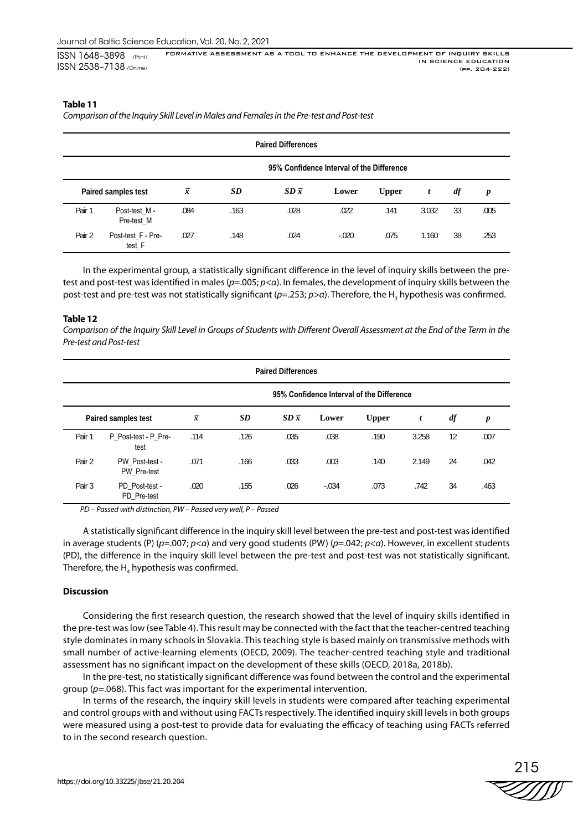### **Table 11**

*Comparison of the Inquiry Skill Level in Males and Females in the Pre-test and Post-test* 

|                                           | <b>Paired Differences</b>    |           |           |             |         |              |       |    |      |  |
|-------------------------------------------|------------------------------|-----------|-----------|-------------|---------|--------------|-------|----|------|--|
| 95% Confidence Interval of the Difference |                              |           |           |             |         |              |       |    |      |  |
|                                           | Paired samples test          | $\bar{x}$ | <b>SD</b> | $SD\bar{x}$ | Lower   | <b>Upper</b> | t     | df | p    |  |
| Pair 1                                    | Post-test M -<br>Pre-test M  | .084      | .163      | .028        | .022    | .141         | 3.032 | 33 | .005 |  |
| Pair 2                                    | Post-test F - Pre-<br>test F | .027      | .148      | .024        | $-.020$ | .075         | 1.160 | 38 | .253 |  |

In the experimental group, a statistically significant difference in the level of inquiry skills between the pretest and post-test was identified in males (*p*=.005; *p<α*). In females, the development of inquiry skills between the post-test and pre-test was not statistically significant (*p*=.253; *p*>a). Therefore, the H<sub>3</sub> hypothesis was confirmed.

### **Table 12**

*Comparison of the Inquiry Skill Level in Groups of Students with Different Overall Assessment at the End of the Term in the Pre-test and Post-test*

|                                           | <b>Paired Differences</b>     |           |           |             |         |              |       |               |                  |  |  |
|-------------------------------------------|-------------------------------|-----------|-----------|-------------|---------|--------------|-------|---------------|------------------|--|--|
| 95% Confidence Interval of the Difference |                               |           |           |             |         |              |       |               |                  |  |  |
|                                           | Paired samples test           | $\bar{x}$ | <b>SD</b> | $SD\bar{x}$ | Lower   | <b>Upper</b> | t     | $\mathit{df}$ | $\boldsymbol{p}$ |  |  |
| Pair 1                                    | P Post-test - P Pre-<br>test  | .114      | .126      | .035        | .038    | .190         | 3.258 | 12            | .007             |  |  |
| Pair 2                                    | PW Post-test -<br>PW Pre-test | .071      | .166      | .033        | .003    | .140         | 2.149 | 24            | .042             |  |  |
| Pair 3                                    | PD Post-test -<br>PD Pre-test | .020      | .155      | .026        | $-.034$ | .073         | .742  | 34            | .463             |  |  |

*PD – Passed with distinction, PW* – *Passed very well, P* – *Passed* 

A statistically significant difference in the inquiry skill level between the pre-test and post-test was identified in average students (P) (*p*=.007; *p<α*) and very good students (PW) (*p*=.042; *p<α*). However, in excellent students (PD), the difference in the inquiry skill level between the pre-test and post-test was not statistically significant. Therefore, the  $\mathsf{H}_4$  hypothesis was confirmed.

### **Discussion**

Considering the first research question, the research showed that the level of inquiry skills identified in the pre-test was low (see Table 4). This result may be connected with the fact that the teacher-centred teaching style dominates in many schools in Slovakia. This teaching style is based mainly on transmissive methods with small number of active-learning elements (OECD, 2009). The teacher-centred teaching style and traditional assessment has no significant impact on the development of these skills (OECD, 2018a, 2018b).

In the pre-test, no statistically significant difference was found between the control and the experimental group (*p*=.068). This fact was important for the experimental intervention.

In terms of the research, the inquiry skill levels in students were compared after teaching experimental and control groups with and without using FACTs respectively. The identified inquiry skill levels in both groups were measured using a post-test to provide data for evaluating the efficacy of teaching using FACTs referred to in the second research question.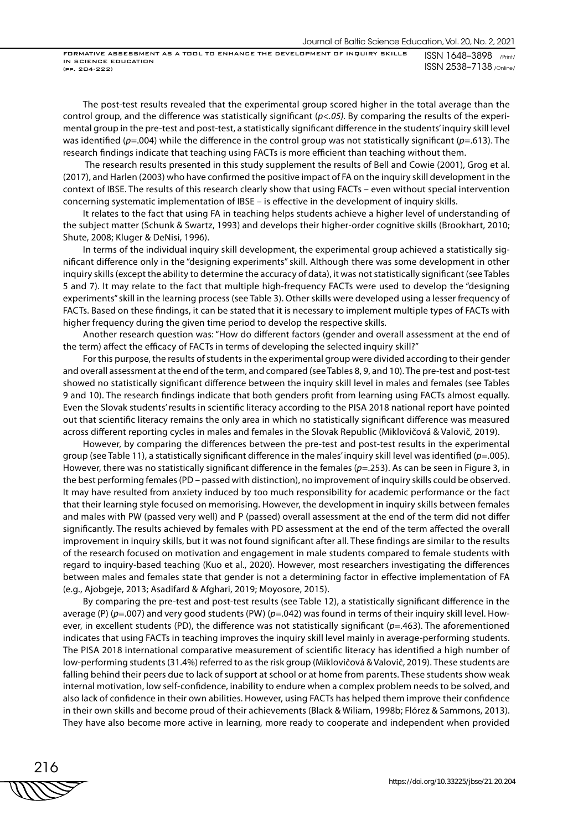The post-test results revealed that the experimental group scored higher in the total average than the control group, and the difference was statistically significant (*p<.05).* By comparing the results of the experimental group in the pre-test and post-test, a statistically significant difference in the students' inquiry skill level was identified (*p*=.004) while the difference in the control group was not statistically significant (*p*=.613). The research findings indicate that teaching using FACTs is more efficient than teaching without them.

 The research results presented in this study supplement the results of Bell and Cowie (2001), Grog et al. (2017), and Harlen (2003) who have confirmed the positive impact of FA on the inquiry skill development in the context of IBSE. The results of this research clearly show that using FACTs – even without special intervention concerning systematic implementation of IBSE – is effective in the development of inquiry skills.

It relates to the fact that using FA in teaching helps students achieve a higher level of understanding of the subject matter (Schunk & Swartz, 1993) and develops their higher-order cognitive skills (Brookhart, 2010; Shute, 2008; Kluger & DeNisi, 1996).

In terms of the individual inquiry skill development, the experimental group achieved a statistically significant difference only in the "designing experiments" skill. Although there was some development in other inquiry skills (except the ability to determine the accuracy of data), it was not statistically significant (see Tables 5 and 7). It may relate to the fact that multiple high-frequency FACTs were used to develop the "designing experiments" skill in the learning process (see Table 3). Other skills were developed using a lesser frequency of FACTs. Based on these findings, it can be stated that it is necessary to implement multiple types of FACTs with higher frequency during the given time period to develop the respective skills.

Another research question was: "How do different factors (gender and overall assessment at the end of the term) affect the efficacy of FACTs in terms of developing the selected inquiry skill?"

For this purpose, the results of students in the experimental group were divided according to their gender and overall assessment at the end of the term, and compared (see Tables 8, 9, and 10). The pre-test and post-test showed no statistically significant difference between the inquiry skill level in males and females (see Tables 9 and 10). The research findings indicate that both genders profit from learning using FACTs almost equally. Even the Slovak students' results in scientific literacy according to the PISA 2018 national report have pointed out that scientific literacy remains the only area in which no statistically significant difference was measured across different reporting cycles in males and females in the Slovak Republic (Miklovičová & Valovič, 2019).

However, by comparing the differences between the pre-test and post-test results in the experimental group (see Table 11), a statistically significant difference in the males' inquiry skill level was identified (*p*=.005). However, there was no statistically significant difference in the females (*p*=.253). As can be seen in Figure 3, in the best performing females (PD – passed with distinction), no improvement of inquiry skills could be observed. It may have resulted from anxiety induced by too much responsibility for academic performance or the fact that their learning style focused on memorising. However, the development in inquiry skills between females and males with PW (passed very well) and P (passed) overall assessment at the end of the term did not differ significantly. The results achieved by females with PD assessment at the end of the term affected the overall improvement in inquiry skills, but it was not found significant after all. These findings are similar to the results of the research focused on motivation and engagement in male students compared to female students with regard to inquiry-based teaching (Kuo et al., 2020). However, most researchers investigating the differences between males and females state that gender is not a determining factor in effective implementation of FA (e.g., Ajobgeje, 2013; Asadifard & Afghari, 2019; Moyosore, 2015).

By comparing the pre-test and post-test results (see Table 12), a statistically significant difference in the average (P) (*p*=.007) and very good students (PW) (*p*=.042) was found in terms of their inquiry skill level. However, in excellent students (PD), the difference was not statistically significant (*p*=.463). The aforementioned indicates that using FACTs in teaching improves the inquiry skill level mainly in average-performing students. The PISA 2018 international comparative measurement of scientific literacy has identified a high number of low-performing students (31.4%) referred to as the risk group (Miklovičová & Valovič, 2019). These students are falling behind their peers due to lack of support at school or at home from parents. These students show weak internal motivation, low self-confidence, inability to endure when a complex problem needs to be solved, and also lack of confidence in their own abilities. However, using FACTs has helped them improve their confidence in their own skills and become proud of their achievements (Black & Wiliam, 1998b; Flórez & Sammons, 2013). They have also become more active in learning, more ready to cooperate and independent when provided

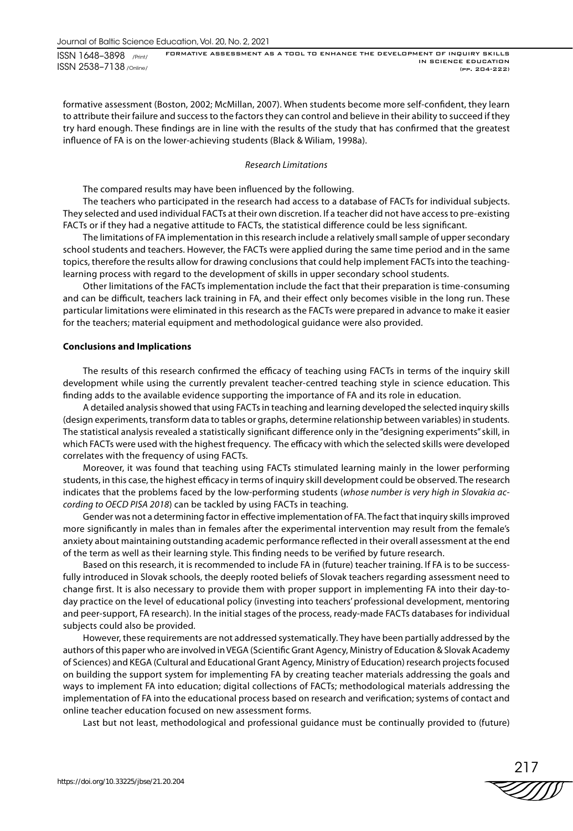formative assessment (Boston, 2002; McMillan, 2007). When students become more self-confident, they learn to attribute their failure and success to the factors they can control and believe in their ability to succeed if they try hard enough. These findings are in line with the results of the study that has confirmed that the greatest influence of FA is on the lower-achieving students (Black & Wiliam, 1998a).

### *Research Limitations*

The compared results may have been influenced by the following.

The teachers who participated in the research had access to a database of FACTs for individual subjects. They selected and used individual FACTs at their own discretion. If a teacher did not have access to pre-existing FACTs or if they had a negative attitude to FACTs, the statistical difference could be less significant.

The limitations of FA implementation in this research include a relatively small sample of upper secondary school students and teachers. However, the FACTs were applied during the same time period and in the same topics, therefore the results allow for drawing conclusions that could help implement FACTs into the teachinglearning process with regard to the development of skills in upper secondary school students.

Other limitations of the FACTs implementation include the fact that their preparation is time-consuming and can be difficult, teachers lack training in FA, and their effect only becomes visible in the long run. These particular limitations were eliminated in this research as the FACTs were prepared in advance to make it easier for the teachers; material equipment and methodological guidance were also provided.

### **Conclusions and Implications**

The results of this research confirmed the efficacy of teaching using FACTs in terms of the inquiry skill development while using the currently prevalent teacher-centred teaching style in science education. This finding adds to the available evidence supporting the importance of FA and its role in education.

A detailed analysis showed that using FACTs in teaching and learning developed the selected inquiry skills (design experiments, transform data to tables or graphs, determine relationship between variables) in students. The statistical analysis revealed a statistically significant difference only in the "designing experiments" skill, in which FACTs were used with the highest frequency. The efficacy with which the selected skills were developed correlates with the frequency of using FACTs.

Moreover, it was found that teaching using FACTs stimulated learning mainly in the lower performing students, in this case, the highest efficacy in terms of inquiry skill development could be observed. The research indicates that the problems faced by the low-performing students (*whose number is very high in Slovakia according to OECD PISA 2018*) can be tackled by using FACTs in teaching.

Gender was not a determining factor in effective implementation of FA. The fact that inquiry skills improved more significantly in males than in females after the experimental intervention may result from the female's anxiety about maintaining outstanding academic performance reflected in their overall assessment at the end of the term as well as their learning style. This finding needs to be verified by future research.

Based on this research, it is recommended to include FA in (future) teacher training. If FA is to be successfully introduced in Slovak schools, the deeply rooted beliefs of Slovak teachers regarding assessment need to change first. It is also necessary to provide them with proper support in implementing FA into their day-today practice on the level of educational policy (investing into teachers' professional development, mentoring and peer-support, FA research). In the initial stages of the process, ready-made FACTs databases for individual subjects could also be provided.

However, these requirements are not addressed systematically. They have been partially addressed by the authors of this paper who are involved in VEGA (Scientific Grant Agency, Ministry of Education & Slovak Academy of Sciences) and KEGA (Cultural and Educational Grant Agency, Ministry of Education) research projects focused on building the support system for implementing FA by creating teacher materials addressing the goals and ways to implement FA into education; digital collections of FACTs; methodological materials addressing the implementation of FA into the educational process based on research and verification; systems of contact and online teacher education focused on new assessment forms.

Last but not least, methodological and professional guidance must be continually provided to (future)

217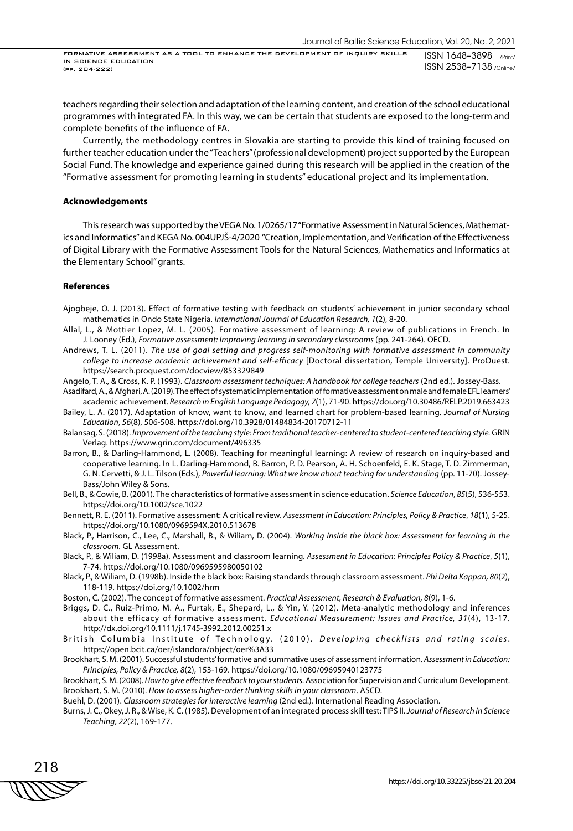teachers regarding their selection and adaptation of the learning content, and creation of the school educational programmes with integrated FA. In this way, we can be certain that students are exposed to the long-term and complete benefits of the influence of FA.

Currently, the methodology centres in Slovakia are starting to provide this kind of training focused on further teacher education under the "Teachers" (professional development) project supported by the European Social Fund. The knowledge and experience gained during this research will be applied in the creation of the "Formative assessment for promoting learning in students" educational project and its implementation.

#### **Acknowledgements**

This research was supported by the VEGA No. 1/0265/17 "Formative Assessment in Natural Sciences, Mathematics and Informatics" and KEGA No. 004UPJŠ-4/2020 "Creation, Implementation, and Verification of the Effectiveness of Digital Library with the Formative Assessment Tools for the Natural Sciences, Mathematics and Informatics at the Elementary School" grants.

### **References**

- Ajogbeje, O. J. (2013). Effect of formative testing with feedback on students' achievement in junior secondary school mathematics in Ondo State Nigeria. *International Journal of Education Research, 1*(2), 8-20.
- Allal, L., & Mottier Lopez, M. L. (2005). Formative assessment of learning: A review of publications in French. In J. Looney (Ed.), *Formative assessment: Improving learning in secondary classrooms* (pp. 241-264). OECD.
- Andrews, T. L. (2011). *The use of goal setting and progress self-monitoring with formative assessment in community college to increase academic achievement and self-efficacy* [Doctoral dissertation, Temple University]. ProOuest. https://search.proquest.com/docview/853329849
- Angelo, T. A., & Cross, K. P. (1993). *Classroom assessment techniques: A handbook for college teachers* (2nd ed.). Jossey-Bass.
- Asadifard, A., & Afghari, A. (2019). The effect of systematic implementation of formative assessment on male and female EFL learners' academic achievement. *Research in English Language Pedagogy, 7*(1), 71-90. https://doi.org/10.30486/RELP.2019.663423 Bailey, L. A. (2017). Adaptation of know, want to know, and learned chart for problem-based learning. *Journal of Nursing*
- *Education*, *56*(8), 506-508. https://doi.org/10.3928/01484834-20170712-11 Balansag, S. (2018). *Improvement of the teaching style: From traditional teacher-centered to student-centered teaching style.* GRIN Verlag. https://www.grin.com/document/496335
- Barron, B., & Darling-Hammond, L. (2008). Teaching for meaningful learning: A review of research on inquiry-based and cooperative learning. In L. Darling-Hammond, B. Barron, P. D. Pearson, A. H. Schoenfeld, E. K. Stage, T. D. Zimmerman, G. N. Cervetti, & J. L. Tilson (Eds.), *Powerful learning: What we know about teaching for understanding* (pp. 11-70). Jossey-Bass/John Wiley & Sons.
- Bell, B., & Cowie, B. (2001). The characteristics of formative assessment in science education. *Science Education*, *85*(5), 536-553. https://doi.org/10.1002/sce.1022
- Bennett, R. E. (2011). Formative assessment: A critical review. *Assessment in Education: Principles, Policy & Practice*, *18*(1), 5-25. https://doi.org/10.1080/0969594X.2010.513678
- Black, P., Harrison, C., Lee, C., Marshall, B., & Wiliam, D. (2004). *Working inside the black box: Assessment for learning in the classroom.* GL Assessment.
- Black, P., & Wiliam, D. (1998a). Assessment and classroom learning. *Assessment in Education: Principles Policy & Practice*, *5*(1), 7-74. https://doi.org/10.1080/0969595980050102
- Black, P., & Wiliam, D. (1998b). Inside the black box: Raising standards through classroom assessment. *Phi Delta Kappan, 80*(2), 118-119. https://doi.org/10.1002/hrm
- Boston, C. (2002). The concept of formative assessment. *Practical Assessment, Research & Evaluation, 8*(9), 1-6.
- Briggs, D. C., Ruiz-Primo, M. A., Furtak, E., Shepard, L., & Yin, Y. (2012). Meta-analytic methodology and inferences about the efficacy of formative assessment. *Educational Measurement: Issues and Practice, 31*(4), 13-17. http://dx.doi.org/10.1111/j.1745-3992.2012.00251.x
- British Columbia Institute of Technology. (2010). *Developing checklists and rating scales*. https://open.bcit.ca/oer/islandora/object/oer%3A33
- Brookhart, S. M. (2001). Successful students' formative and summative uses of assessment information. *Assessment in Education: Principles, Policy & Practice, 8*(2), 153-169. https://doi.org/10.1080/09695940123775

Brookhart, S. M. (2008). *How to give effective feedback to your students.* Association for Supervision and Curriculum Development. Brookhart, S. M. (2010). *How to assess higher-order thinking skills in your classroom*. ASCD.

Buehl, D. (2001). *Classroom strategies for interactive learning* (2nd ed.)*.* International Reading Association.

Burns, J. C., Okey, J. R., & Wise, K. C. (1985). Development of an integrated process skill test: TIPS II. *Journal of Research in Science Teaching*, *22*(2), 169-177.

218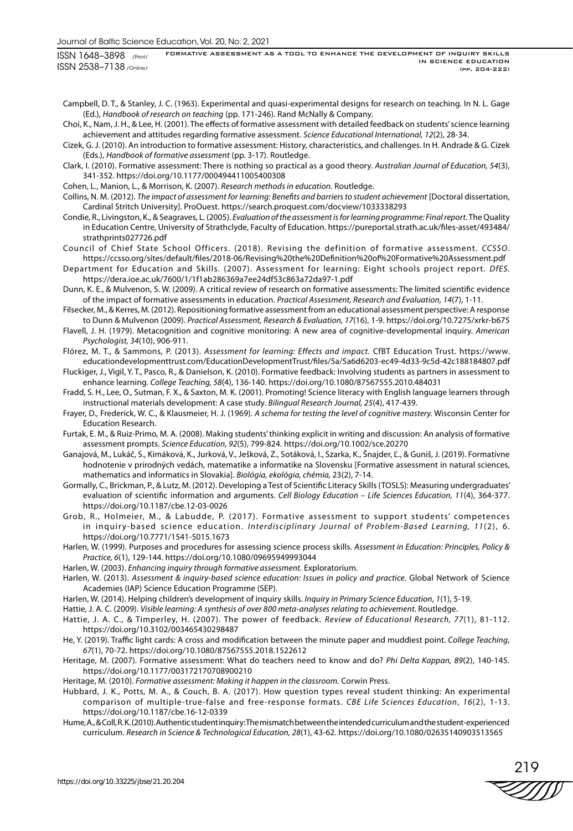Campbell, D. T., & Stanley, J. C. (1963). Experimental and quasi-experimental designs for research on teaching. In N. L. Gage (Ed.), *Handbook of research on teaching* (pp. 171-246). Rand McNally & Company.

- Choi, K., Nam, J. H., & Lee, H. (2001). The effects of formative assessment with detailed feedback on students' science learning achievement and attitudes regarding formative assessment. *Science Educational International, 12*(2), 28-34.
- Cizek, G. J. (2010). An introduction to formative assessment: History, characteristics, and challenges. In H. Andrade & G. Cizek (Eds.), *Handbook of formative assessment* (pp. 3-17). Routledge.
- Clark, I. (2010). Formative assessment: There is nothing so practical as a good theory. *Australian Journal of Education, 54*(3), 341-352. https://doi.org/10.1177/000494411005400308

Cohen, L., Manion, L., & Morrison, K. (2007). *Research methods in education.* Routledge.

- Collins, N. M. (2012). *The impact of assessment for learning: Benefits and barriers to student achievement* [Doctoral dissertation, Cardinal Stritch University]. ProOuest. https://search.proquest.com/docview/1033338293
- Condie, R., Livingston, K., & Seagraves, L. (2005). *Evaluation of the assessment is for learning programme: Final report.* The Quality in Education Centre, University of Strathclyde, Faculty of Education. https://pureportal.strath.ac.uk/files-asset/493484/ strathprints027726.pdf
- Council of Chief State School Officers. (2018). Revising the definition of formative assessment. *CCSSO*. https://ccsso.org/sites/default/files/2018-06/Revising%20the%20Definition%20of%20Formative%20Assessment.pdf
- Department for Education and Skills. (2007). Assessment for learning: Eight schools project report. *DfES.* https://dera.ioe.ac.uk/7600/1/1f1ab286369a7ee24df53c863a72da97-1.pdf
- Dunn, K. E., & Mulvenon, S. W. (2009). A critical review of research on formative assessments: The limited scientific evidence of the impact of formative assessments in education. *Practical Assessment, Research and Evaluation, 14*(7), 1-11.
- Filsecker, M., & Kerres, M. (2012). Repositioning formative assessment from an educational assessment perspective: A response to Dunn & Mulvenon (2009). *Practical Assessment, Research & Evaluation, 17*(16), 1-9. https://doi.org/10.7275/xrkr-b675
- Flavell, J. H. (1979). Metacognition and cognitive monitoring: A new area of cognitive-developmental inquiry. *American Psychologist, 34*(10), 906-911.
- Flórez, M. T., & Sammons, P. (2013). *Assessment for learning: Effects and impact.* CfBT Education Trust. https://www. educationdevelopmenttrust.com/EducationDevelopmentTrust/files/5a/5a6d6203-ec49-4d33-9c5d-42c188184807.pdf
- Fluckiger, J., Vigil, Y. T., Pasco, R., & Danielson, K. (2010). Formative feedback: Involving students as partners in assessment to enhance learning. *College Teaching, 58*(4), 136-140. https://doi.org/10.1080/87567555.2010.484031
- Fradd, S. H., Lee, O., Sutman, F. X., & Saxton, M. K. (2001). Promoting! Science literacy with English language learners through instructional materials development: A case study. *Bilingual Research Journal, 25*(4), 417-439.
- Frayer, D., Frederick, W. C., & Klausmeier, H. J. (1969). *A schema for testing the level of cognitive mastery.* Wisconsin Center for Education Research.
- Furtak, E. M., & Ruiz-Primo, M. A. (2008). Making students' thinking explicit in writing and discussion: An analysis of formative assessment prompts. *Science Education, 92*(5), 799-824. https://doi.org/10.1002/sce.20270
- Ganajová, M., Lukáč, S., Kimáková, K., Jurková, V., Ješková, Z., Sotáková, I., Szarka, K., Šnajder, Ľ., & Guniš, J. (2019). Formatívne hodnotenie v prírodných vedách, matematike a informatike na Slovensku [Formative assessment in natural sciences, mathematics and informatics in Slovakia]. *Biológia, ekológia, chémia,* 23(2), 7-14.
- Gormally, C., Brickman, P., & Lutz, M. (2012). Developing a Test of Scientific Literacy Skills (TOSLS): Measuring undergraduates' evaluation of scientific information and arguments. *Cell Biology Education – Life Sciences Education, 11*(4), 364-377. https://doi.org/10.1187/cbe.12-03-0026
- Grob, R., Holmeier, M., & Labudde, P. (2017). Formative assessment to support students' competences in inquiry-based science education. *Interdisciplinary Journal of Problem-Based Learning, 11*(2), 6. https://doi.org/10.7771/1541-5015.1673
- Harlen, W. (1999). Purposes and procedures for assessing science process skills. *Assessment in Education: Principles, Policy & Practice, 6*(1), 129-144. https://doi.org/10.1080/09695949993044
- Harlen, W. (2003). *Enhancing inquiry through formative assessment.* Exploratorium.
- Harlen, W. (2013). *Assessment & inquiry-based science education: Issues in policy and practice.* Global Network of Science Academies (IAP) Science Education Programme (SEP).
- Harlen, W. (2014). Helping children's development of inquiry skills. *Inquiry in Primary Science Education*, *1*(1), 5-19.
- Hattie, J. A. C. (2009). *Visible learning: A synthesis of over 800 meta-analyses relating to achievement*. Routledge.
- Hattie, J. A. C., & Timperley, H. (2007). The power of feedback. *Review of Educational Research, 77*(1), 81-112. https://doi.org/10.3102/003465430298487
- He, Y. (2019). Traffic light cards: A cross and modification between the minute paper and muddiest point. *College Teaching*, *67*(1), 70-72. https://doi.org/10.1080/87567555.2018.1522612
- Heritage, M. (2007). Formative assessment: What do teachers need to know and do? *Phi Delta Kappan, 89*(2), 140-145. https://doi.org/10.1177/003172170708900210
- Heritage, M. (2010). *Formative assessment: Making it happen in the classroom.* Corwin Press.
- Hubbard, J. K., Potts, M. A., & Couch, B. A. (2017). How question types reveal student thinking: An experimental comparison of multiple-true-false and free-response formats. *CBE Life Sciences Education*, *16*(2), 1-13. https://doi.org/10.1187/cbe.16-12-0339
- Hume, A., & Coll, R. K. (2010). Authentic student inquiry: The mismatch between the intended curriculum and the student-experienced curriculum. *Research in Science & Technological Education, 28*(1), 43-62. https://doi.org/10.1080/02635140903513565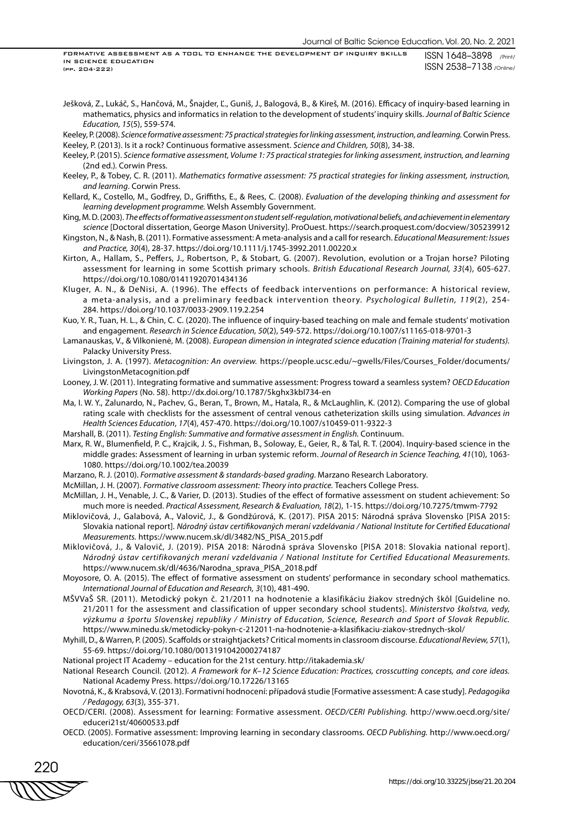Ješková, Z., Lukáč, S., Hančová, M., Šnajder, Ľ., Guniš, J., Balogová, B., & Kireš, M. (2016). Efficacy of inquiry-based learning in mathematics, physics and informatics in relation to the development of students' inquiry skills. *Journal of Baltic Science Education, 15*(5), 559-574.

Keeley, P. (2008). *Science formative assessment: 75 practical strategies for linking assessment, instruction, and learning.* Corwin Press. Keeley, P. (2013). Is it a rock? Continuous formative assessment. *Science and Children, 50*(8), 34-38.

- Keeley, P. (2015). *Science formative assessment, Volume 1: 75 practical strategies for linking assessment, instruction, and learning*  (2nd ed.)*.* Corwin Press.
- Keeley, P., & Tobey, C. R. (2011). *Mathematics formative assessment: 75 practical strategies for linking assessment, instruction, and learning*. Corwin Press.
- Kellard, K., Costello, M., Godfrey, D., Griffiths, E., & Rees, C. (2008). *Evaluation of the developing thinking and assessment for learning development programme.* Welsh Assembly Government.
- King, M. D. (2003). *The effects of formative assessment on student self-regulation, motivational beliefs, and achievement in elementary science* [Doctoral dissertation, George Mason University]. ProOuest. https://search.proquest.com/docview/305239912
- Kingston, N., & Nash, B. (2011). Formative assessment: A meta-analysis and a call for research. *Educational Measurement: Issues and Practice, 30*(4), 28-37. https://doi.org/10.1111/j.1745-3992.2011.00220.x
- Kirton, A., Hallam, S., Peffers, J., Robertson, P., & Stobart, G. (2007). Revolution, evolution or a Trojan horse? Piloting assessment for learning in some Scottish primary schools. *British Educational Research Journal, 33*(4), 605-627. https://doi.org/10.1080/01411920701434136
- Kluger, A. N., & DeNisi, A. (1996). The effects of feedback interventions on performance: A historical review, a meta-analysis, and a preliminary feedback intervention theory. *Psychological Bulletin, 119*(2), 254- 284. https://doi.org/10.1037/0033-2909.119.2.254
- Kuo, Y. R., Tuan, H. L., & Chin, C. C. (2020). The influence of inquiry-based teaching on male and female students' motivation and engagement. *Research in Science Education, 50*(2), 549-572. https://doi.org/10.1007/s11165-018-9701-3

Lamanauskas, V., & Vilkonienė, M. (2008). *European dimension in integrated science education (Training material for students).* Palacky University Press.

- Livingston, J. A. (1997). *Metacognition: An overview.* https://people.ucsc.edu/~gwells/Files/Courses\_Folder/documents/ LivingstonMetacognition.pdf
- Looney, J. W. (2011). Integrating formative and summative assessment: Progress toward a seamless system? *OECD Education Working Papers* (No. 58). http://dx.doi.org/10.1787/5kghx3kbl734-en
- Ma, I. W. Y., Zalunardo, N., Pachev, G., Beran, T., Brown, M., Hatala, R., & McLaughlin, K. (2012). Comparing the use of global rating scale with checklists for the assessment of central venous catheterization skills using simulation. *Advances in Health Sciences Education*, *17*(4), 457-470. https://doi.org/10.1007/s10459-011-9322-3

Marshall, B. (2011). *Testing English: Summative and formative assessment in English.* Continuum.

Marx, R. W., Blumenfield, P. C., Krajcik, J. S., Fishman, B., Soloway, E., Geier, R., & Tal, R. T. (2004). Inquiry-based science in the middle grades: Assessment of learning in urban systemic reform. *Journal of Research in Science Teaching, 41*(10), 1063- 1080. https://doi.org/10.1002/tea.20039

Marzano, R. J. (2010). *Formative assessment & standards-based grading.* Marzano Research Laboratory.

- McMillan, J. H. (2007). *Formative classroom assessment: Theory into practice.* Teachers College Press.
- McMillan, J. H., Venable, J. C., & Varier, D. (2013). Studies of the effect of formative assessment on student achievement: So much more is needed. *Practical Assessment, Research & Evaluation, 18*(2), 1-15. https://doi.org/10.7275/tmwm-7792
- Miklovičová, J., Galabová, A., Valovič, J., & Gondžúrová, K. (2017). PISA 2015: Národná správa Slovensko [PISA 2015: Slovakia national report]. *Národný ústav certifikovaných meraní vzdelávania / National Institute for Certified Educational Measurements.* https://www.nucem.sk/dl/3482/NS\_PISA\_2015.pdf
- Miklovičová, J., & Valovič, J. (2019). PISA 2018: Národná správa Slovensko [PISA 2018: Slovakia national report]. *Národný ústav certifikovaných meraní vzdelávania / National Institute for Certified Educational Measurements.* https://www.nucem.sk/dl/4636/Narodna\_sprava\_PISA\_2018.pdf
- Moyosore, O. A. (2015). The effect of formative assessment on students' performance in secondary school mathematics. *International Journal of Education and Research, 3*(10), 481-490.
- MŠVVaŠ SR. (2011). Metodický pokyn č. 21/2011 na hodnotenie a klasifikáciu žiakov stredných škôl [Guideline no. 21/2011 for the assessment and classification of upper secondary school students]. *Ministerstvo školstva, vedy, výzkumu a športu Slovenskej republiky / Ministry of Education, Science, Research and Sport of Slovak Republic.* https://www.minedu.sk/metodicky-pokyn-c-212011-na-hodnotenie-a-klasifikaciu-ziakov-strednych-skol/
- Myhill, D., & Warren, P. (2005). Scaffolds or straightjackets? Critical moments in classroom discourse. *Educational Review, 57*(1), 55-69. https://doi.org/10.1080/0013191042000274187

National project IT Academy – education for the 21st century. http://itakademia.sk/

National Research Council. (2012). *A Framework for K–12 Science Education: Practices, crosscutting concepts, and core ideas.* National Academy Press. https://doi.org/10.17226/13165

Novotná, K., & Krabsová, V. (2013). Formativní hodnocení: případová studie [Formative assessment: A case study]. *Pedagogika / Pedagogy, 63*(3), 355-371.

- OECD/CERI. (2008). Assessment for learning: Formative assessment. *OECD/CERI Publishing.* http://www.oecd.org/site/ educeri21st/40600533.pdf
- OECD. (2005). Formative assessment: Improving learning in secondary classrooms. *OECD Publishing.* http://www.oecd.org/ education/ceri/35661078.pdf

$$
\begin{array}{c}\n 220 \\
\hline\n \text{WWW} \n \end{array}
$$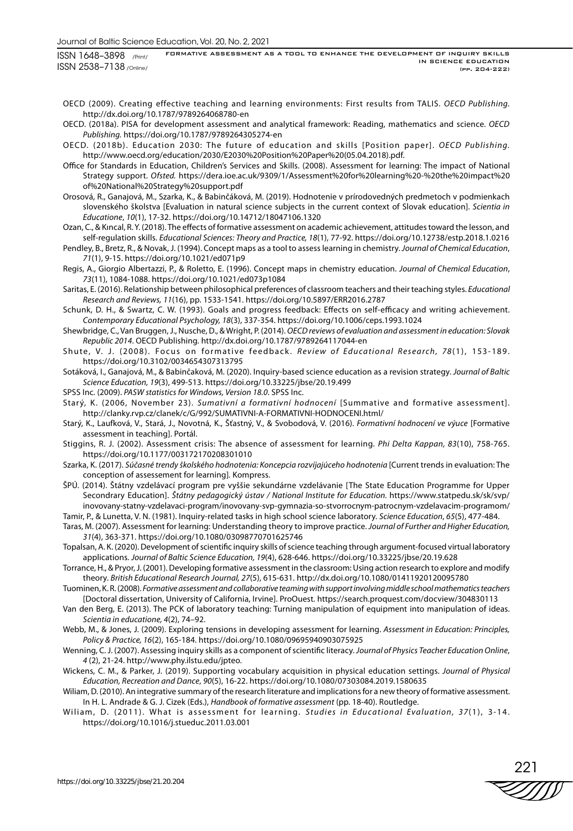- OECD (2009). Creating effective teaching and learning environments: First results from TALIS. *OECD Publishing.* http://dx.doi.org/10.1787/9789264068780-en
- OECD. (2018a). PISA for development assessment and analytical framework: Reading, mathematics and science. *OECD Publishing.* https://doi.org/10.1787/9789264305274-en
- OECD. (2018b). Education 2030: The future of education and skills [Position paper]. *OECD Publishing.* http://www.oecd.org/education/2030/E2030%20Position%20Paper%20(05.04.2018).pdf.
- Office for Standards in Education, Children's Services and Skills. (2008). Assessment for learning: The impact of National Strategy support. *Ofsted.* https://dera.ioe.ac.uk/9309/1/Assessment%20for%20learning%20-%20the%20impact%20 of%20National%20Strategy%20support.pdf
- Orosová, R., Ganajová, M., Szarka, K., & Babinčáková, M. (2019). Hodnotenie v prírodovedných predmetoch v podmienkach slovenského školstva [Evaluation in natural science subjects in the current context of Slovak education]. *Scientia in Educatione*, *10*(1), 17-32. https://doi.org/10.14712/18047106.1320
- Ozan, C., & Kıncal, R. Y. (2018). The effects of formative assessment on academic achievement, attitudes toward the lesson, and self-regulation skills. *Educational Sciences: Theory and Practice, 18*(1), 77-92. https://doi.org/10.12738/estp.2018.1.0216
- Pendley, B., Bretz, R., & Novak, J. (1994). Concept maps as a tool to assess learning in chemistry. *Journal of Chemical Education*, *71*(1), 9-15. https://doi.org/10.1021/ed071p9
- Regis, A., Giorgio Albertazzi, P., & Roletto, E. (1996). Concept maps in chemistry education. *Journal of Chemical Education*, *73*(11), 1084-1088. https://doi.org/10.1021/ed073p1084
- Saritas, E. (2016). Relationship between philosophical preferences of classroom teachers and their teaching styles. *Educational Research and Reviews, 11*(16), pp. 1533-1541. https://doi.org/10.5897/ERR2016.2787
- Schunk, D. H., & Swartz, C. W. (1993). Goals and progress feedback: Effects on self-efficacy and writing achievement. *Contemporary Educational Psychology, 18*(3), 337-354. https://doi.org/10.1006/ceps.1993.1024
- Shewbridge, C., Van Bruggen, J., Nusche, D., & Wright, P. (2014). *OECD reviews of evaluation and assessment in education: Slovak Republic 2014*. OECD Publishing. http://dx.doi.org/10.1787/9789264117044-en
- Shute, V. J. (2008). Focus on formative feedback. Review of Educational Research, 78(1), 153-189. https://doi.org/10.3102/0034654307313795
- Sotáková, I., Ganajová, M., & Babinčaková, M. (2020). Inquiry-based science education as a revision strategy. *Journal of Baltic Science Education, 19*(3), 499-513. https://doi.org/10.33225/jbse/20.19.499
- SPSS Inc. (2009). *PASW statistics for Windows, Version 18.0*. SPSS Inc.
- Starý, K. (2006, November 23). *Sumativní a formativní hodnocení* [Summative and formative assessment]. http://clanky.rvp.cz/clanek/c/G/992/SUMATIVNI-A-FORMATIVNI-HODNOCENI.html/
- Starý, K., Laufková, V., Stará, J., Novotná, K., Šťastný, V., & Svobodová, V. (2016). *Formativní hodnocení ve výuce* [Formative assessment in teaching]. Portál.
- Stiggins, R. J. (2002). Assessment crisis: The absence of assessment for learning. *Phi Delta Kappan, 83*(10), 758-765. https://doi.org/10.1177/003172170208301010
- Szarka, K. (2017). Súčasné trendy školského hodnotenia: Koncepcia rozvíjajúceho hodnotenia [Current trends in evaluation: The conception of assessement for learning]*.* Kompress.
- ŠPÚ. (2014). Štátny vzdelávací program pre vyššie sekundárne vzdelávanie [The State Education Programme for Upper Secondrary Education]. *Štátny pedagogický ústav / National Institute for Education.* https://www.statpedu.sk/sk/svp/ inovovany-statny-vzdelavaci-program/inovovany-svp-gymnazia-so-stvorrocnym-patrocnym-vzdelavacim-programom/
- Tamir, P., & Lunetta, V. N. (1981). Inquiry-related tasks in high school science laboratory. *Science Education*, *65*(5), 477-484. Taras, M. (2007). Assessment for learning: Understanding theory to improve practice. *Journal of Further and Higher Education,*
- *31*(4), 363-371. https://doi.org/10.1080/03098770701625746 Topalsan, A. K. (2020). Development of scientific inquiry skills of science teaching through argument-focused virtual laboratory applications. *Journal of Baltic Science Education, 19*(4), 628-646. https://doi.org/10.33225/jbse/20.19.628
- Torrance, H., & Pryor, J. (2001). Developing formative assessment in the classroom: Using action research to explore and modify theory. *British Educational Research Journal, 27*(5), 615-631. http://dx.doi.org/10.1080/01411920120095780
- Tuominen, K. R. (2008). *Formative assessment and collaborative teaming with support involving middle school mathematics teachers* [Doctoral dissertation, University of California, Irvine]. ProOuest. https://search.proquest.com/docview/304830113
- Van den Berg, E. (2013). The PCK of laboratory teaching: Turning manipulation of equipment into manipulation of ideas. *Scientia in educatione, 4*(2), 74–92.
- Webb, M., & Jones, J. (2009). Exploring tensions in developing assessment for learning. *Assessment in Education: Principles, Policy & Practice, 16*(2), 165-184. https://doi.org/10.1080/09695940903075925
- Wenning, C. J. (2007). Assessing inquiry skills as a component of scientific literacy. *Journal of Physics Teacher Education Online*, *4* (2), 21-24. http://www.phy.ilstu.edu/jpteo.
- Wickens, C. M., & Parker, J. (2019). Supporting vocabulary acquisition in physical education settings. *Journal of Physical Education, Recreation and Dance*, *90*(5), 16-22. https://doi.org/10.1080/07303084.2019.1580635
- Wiliam, D. (2010). An integrative summary of the research literature and implications for a new theory of formative assessment. In H. L. Andrade & G. J. Cizek (Eds.), *Handbook of formative assessment* (pp. 18-40). Routledge.
- Wiliam, D. (2011). What is assessment for learning. *Studies in Educational Evaluation*, 37(1), 3-14. https://doi.org/10.1016/j.stueduc.2011.03.001

221 ZIIW